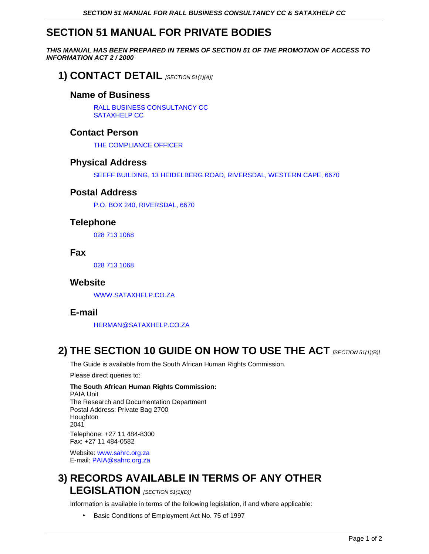# **SECTION 51 MANUAL FOR PRIVATE BODIES**

**THIS MANUAL HAS BEEN PREPARED IN TERMS OF SECTION 51 OF THE PROMOTION OF ACCESS TO INFORMATION ACT 2 / 2000** 

### **1) CONTACT DETAIL** [SECTION 51(1)(A)]

### **Name of Business**

RALL BUSINESS CONSULTANCY CC SATAXHELP CC

### **Contact Person**

THE COMPLIANCE OFFICER

#### **Physical Address**

SEEFF BUILDING, 13 HEIDELBERG ROAD, RIVERSDAL, WESTERN CAPE, 6670

#### **Postal Address**

P.O. BOX 240, RIVERSDAL, 6670

### **Telephone**

028 713 1068

#### **Fax**

028 713 1068

#### **Website**

WWW.SATAXHELP.CO.ZA

#### **E-mail**

HERMAN@SATAXHELP.CO.ZA

### **2) THE SECTION 10 GUIDE ON HOW TO USE THE ACT** *[SECTION 51(1)(B)]*

The Guide is available from the South African Human Rights Commission.

Please direct queries to:

#### **The South African Human Rights Commission:**  PAIA Unit The Research and Documentation Department Postal Address: Private Bag 2700 Houghton 2041 Telephone: +27 11 484-8300 Fax: +27 11 484-0582

Website: www.sahrc.org.za E-mail: PAIA@sahrc.org.za

# **3) RECORDS AVAILABLE IN TERMS OF ANY OTHER LEGISLATION** *[SECTION 51(1)(D)]*

Information is available in terms of the following legislation, if and where applicable:

• Basic Conditions of Employment Act No. 75 of 1997